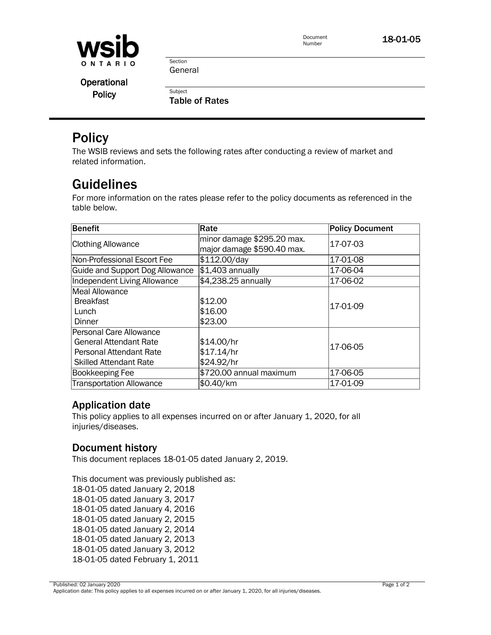

Document

Document **18-01-05**<br>Number

Section General

**Subject** 

**Operational Policy** 

Table of Rates

# **Policy**

The WSIB reviews and sets the following rates after conducting a review of market and related information.

# Guidelines

For more information on the rates please refer to the policy documents as referenced in the table below.

| Benefit                                                                                                                     | Rate                                                     | <b>Policy Document</b> |
|-----------------------------------------------------------------------------------------------------------------------------|----------------------------------------------------------|------------------------|
| <b>Clothing Allowance</b>                                                                                                   | minor damage \$295.20 max.<br>major damage \$590.40 max. | 17-07-03               |
| Non-Professional Escort Fee                                                                                                 | \$112.00/day                                             | 17-01-08               |
| Guide and Support Dog Allowance                                                                                             | $$1,403$ annually                                        | 17-06-04               |
| Independent Living Allowance                                                                                                | \$4,238.25 annually                                      | 17-06-02               |
| Meal Allowance<br><b>Breakfast</b><br>Lunch<br>Dinner                                                                       | \$12.00<br>\$16.00<br>\$23.00                            | 17-01-09               |
| Personal Care Allowance<br><b>General Attendant Rate</b><br><b>Personal Attendant Rate</b><br><b>Skilled Attendant Rate</b> | \$14.00/hr<br>\$17.14/hr<br>\$24.92/hr                   | 17-06-05               |
| Bookkeeping Fee                                                                                                             | \$720.00 annual maximum                                  | 17-06-05               |
| <b>Transportation Allowance</b>                                                                                             | \$0.40/km                                                | 17-01-09               |

### Application date

This policy applies to all expenses incurred on or after January 1, 2020, for all injuries/diseases.

#### Document history

This document replaces 18-01-05 dated January 2, 2019.

This document was previously published as: 18-01-05 dated January 2, 2018 18-01-05 dated January 3, 2017 18-01-05 dated January 4, 2016 18-01-05 dated January 2, 2015 18-01-05 dated January 2, 2014 18-01-05 dated January 2, 2013 18-01-05 dated January 3, 2012 18-01-05 dated February 1, 2011

Published: 02 January 2020 Page 1 of 2 Application date: This policy applies to all expenses incurred on or after January 1, 2020, for all injuries/diseases.